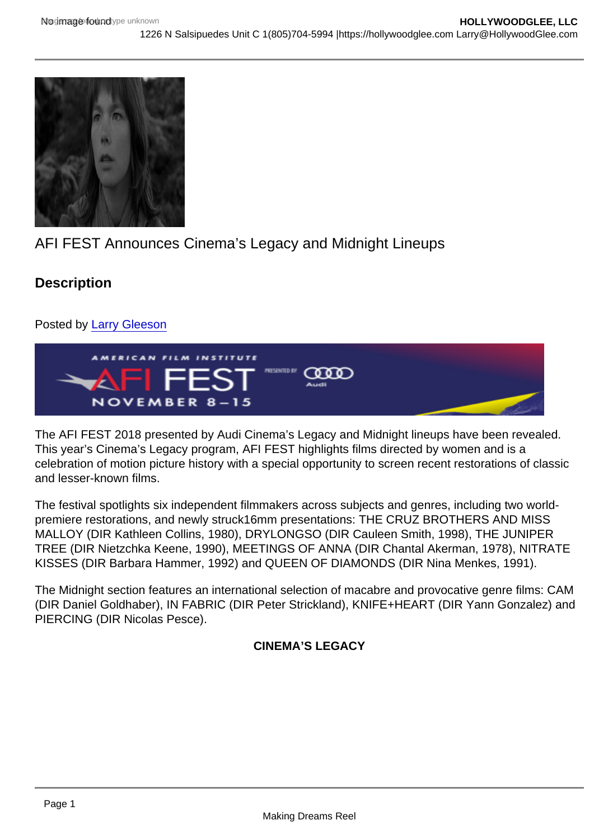## AFI FEST Announces Cinema's Legacy and Midnight Lineups

**Description** 

Posted by [Larry Gleeson](https://studentfilmreviews.org/?s=larry+gleeson)

The AFI FEST 2018 presented by Audi Cinema's Legacy and Midnight lineups have been revealed. This year's Cinema's Legacy program, AFI FEST highlights films directed by women and is a celebration of motion picture history with a special opportunity to screen recent restorations of classic and lesser-known films.

The festival spotlights six independent filmmakers across subjects and genres, including two worldpremiere restorations, and newly struck16mm presentations: THE CRUZ BROTHERS AND MISS MALLOY (DIR Kathleen Collins, 1980), DRYLONGSO (DIR Cauleen Smith, 1998), THE JUNIPER TREE (DIR Nietzchka Keene, 1990), MEETINGS OF ANNA (DIR Chantal Akerman, 1978), NITRATE KISSES (DIR Barbara Hammer, 1992) and QUEEN OF DIAMONDS (DIR Nina Menkes, 1991).

The Midnight section features an international selection of macabre and provocative genre films: CAM (DIR Daniel Goldhaber), IN FABRIC (DIR Peter Strickland), KNIFE+HEART (DIR Yann Gonzalez) and PIERCING (DIR Nicolas Pesce).

CINEMA'S LEGACY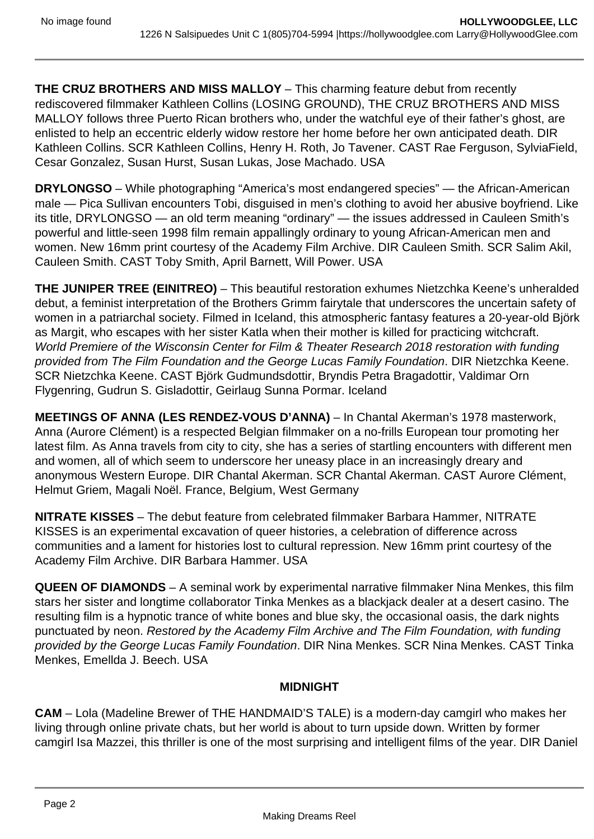**THE CRUZ BROTHERS AND MISS MALLOY** – This charming feature debut from recently rediscovered filmmaker Kathleen Collins (LOSING GROUND), THE CRUZ BROTHERS AND MISS MALLOY follows three Puerto Rican brothers who, under the watchful eye of their father's ghost, are enlisted to help an eccentric elderly widow restore her home before her own anticipated death. DIR Kathleen Collins. SCR Kathleen Collins, Henry H. Roth, Jo Tavener. CAST Rae Ferguson, SylviaField, Cesar Gonzalez, Susan Hurst, Susan Lukas, Jose Machado. USA

**DRYLONGSO** – While photographing "America's most endangered species" — the African-American male — Pica Sullivan encounters Tobi, disguised in men's clothing to avoid her abusive boyfriend. Like its title, DRYLONGSO — an old term meaning "ordinary" — the issues addressed in Cauleen Smith's powerful and little-seen 1998 film remain appallingly ordinary to young African-American men and women. New 16mm print courtesy of the Academy Film Archive. DIR Cauleen Smith. SCR Salim Akil, Cauleen Smith. CAST Toby Smith, April Barnett, Will Power. USA

**THE JUNIPER TREE (EINITREO)** – This beautiful restoration exhumes Nietzchka Keene's unheralded debut, a feminist interpretation of the Brothers Grimm fairytale that underscores the uncertain safety of women in a patriarchal society. Filmed in Iceland, this atmospheric fantasy features a 20-year-old Björk as Margit, who escapes with her sister Katla when their mother is killed for practicing witchcraft. World Premiere of the Wisconsin Center for Film & Theater Research 2018 restoration with funding provided from The Film Foundation and the George Lucas Family Foundation. DIR Nietzchka Keene. SCR Nietzchka Keene. CAST Björk Gudmundsdottir, Bryndis Petra Bragadottir, Valdimar Orn Flygenring, Gudrun S. Gisladottir, Geirlaug Sunna Pormar. Iceland

**MEETINGS OF ANNA (LES RENDEZ-VOUS D'ANNA)** – In Chantal Akerman's 1978 masterwork, Anna (Aurore Clément) is a respected Belgian filmmaker on a no-frills European tour promoting her latest film. As Anna travels from city to city, she has a series of startling encounters with different men and women, all of which seem to underscore her uneasy place in an increasingly dreary and anonymous Western Europe. DIR Chantal Akerman. SCR Chantal Akerman. CAST Aurore Clément, Helmut Griem, Magali Noël. France, Belgium, West Germany

**NITRATE KISSES** – The debut feature from celebrated filmmaker Barbara Hammer, NITRATE KISSES is an experimental excavation of queer histories, a celebration of difference across communities and a lament for histories lost to cultural repression. New 16mm print courtesy of the Academy Film Archive. DIR Barbara Hammer. USA

**QUEEN OF DIAMONDS** – A seminal work by experimental narrative filmmaker Nina Menkes, this film stars her sister and longtime collaborator Tinka Menkes as a blackjack dealer at a desert casino. The resulting film is a hypnotic trance of white bones and blue sky, the occasional oasis, the dark nights punctuated by neon. Restored by the Academy Film Archive and The Film Foundation, with funding provided by the George Lucas Family Foundation. DIR Nina Menkes. SCR Nina Menkes. CAST Tinka Menkes, Emellda J. Beech. USA

## **MIDNIGHT**

**CAM** – Lola (Madeline Brewer of THE HANDMAID'S TALE) is a modern-day camgirl who makes her living through online private chats, but her world is about to turn upside down. Written by former camgirl Isa Mazzei, this thriller is one of the most surprising and intelligent films of the year. DIR Daniel